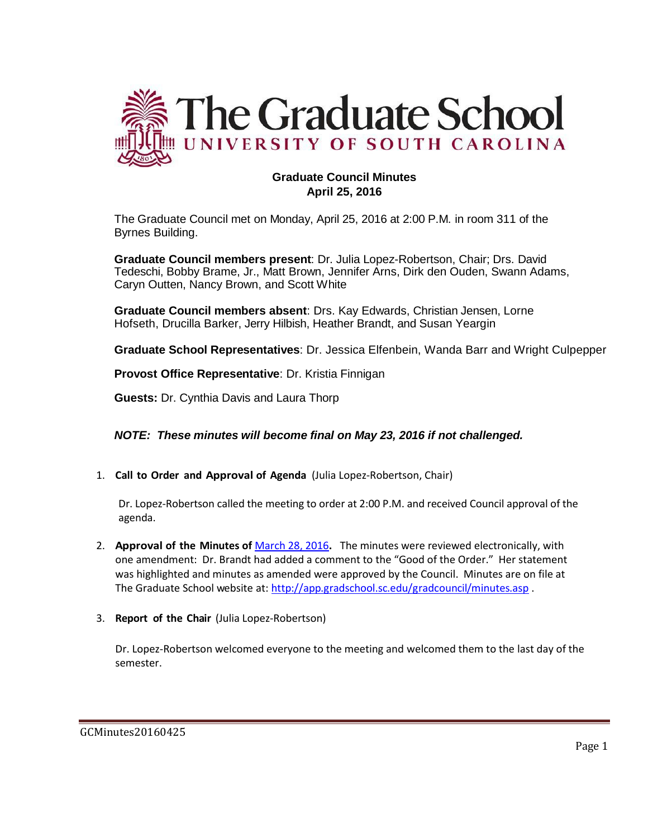

# **Graduate Council Minutes April 25, 2016**

The Graduate Council met on Monday, April 25, 2016 at 2:00 P.M. in room 311 of the Byrnes Building.

**Graduate Council members present**: Dr. Julia Lopez-Robertson, Chair; Drs. David Tedeschi, Bobby Brame, Jr., Matt Brown, Jennifer Arns, Dirk den Ouden, Swann Adams, Caryn Outten, Nancy Brown, and Scott White

**Graduate Council members absent**: Drs. Kay Edwards, Christian Jensen, Lorne Hofseth, Drucilla Barker, Jerry Hilbish, Heather Brandt, and Susan Yeargin

**Graduate School Representatives**: Dr. Jessica Elfenbein, Wanda Barr and Wright Culpepper

**Provost Office Representative**: Dr. Kristia Finnigan

**Guests:** Dr. Cynthia Davis and Laura Thorp

*NOTE: These minutes will become final on May 23, 2016 if not challenged.*

1. **Call to Order and Approval of Agenda** (Julia Lopez-Robertson, Chair)

Dr. Lopez-Robertson called the meeting to order at 2:00 P.M. and received Council approval of the agenda.

- 2. **Approval of the Minutes of** [March 28, 2016](http://gradschool.sc.edu/facstaff/gradcouncil/2015/GCMINUTES20160328WB2.pdf)**.** The minutes were reviewed electronically, with one amendment: Dr. Brandt had added a comment to the "Good of the Order." Her statement was highlighted and minutes as amended were approved by the Council. Minutes are on file at The Graduate School website at:<http://app.gradschool.sc.edu/gradcouncil/minutes.asp>.
- 3. **Report of the Chair** (Julia Lopez-Robertson)

Dr. Lopez-Robertson welcomed everyone to the meeting and welcomed them to the last day of the semester.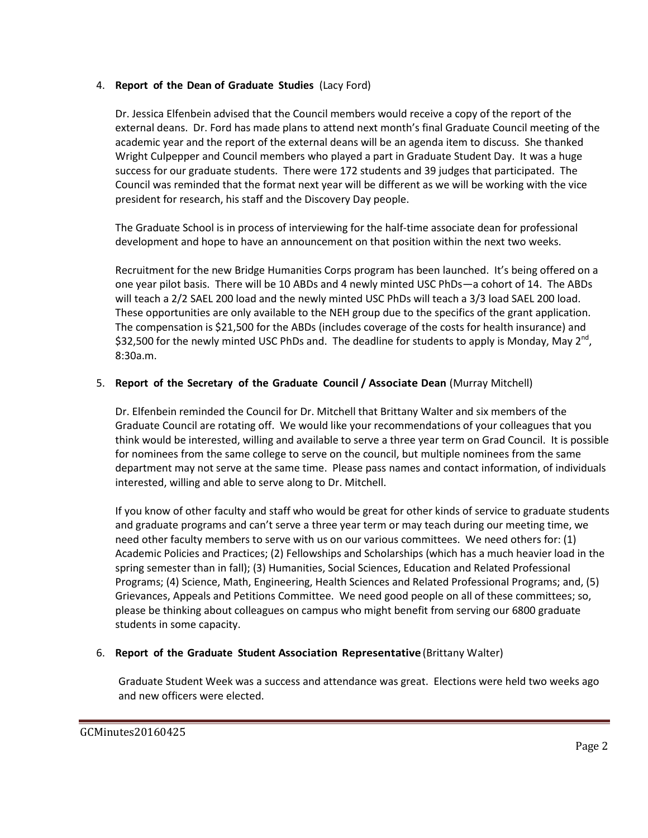## 4. **Report of the Dean of Graduate Studies** (Lacy Ford)

Dr. Jessica Elfenbein advised that the Council members would receive a copy of the report of the external deans. Dr. Ford has made plans to attend next month's final Graduate Council meeting of the academic year and the report of the external deans will be an agenda item to discuss. She thanked Wright Culpepper and Council members who played a part in Graduate Student Day. It was a huge success for our graduate students. There were 172 students and 39 judges that participated. The Council was reminded that the format next year will be different as we will be working with the vice president for research, his staff and the Discovery Day people.

The Graduate School is in process of interviewing for the half-time associate dean for professional development and hope to have an announcement on that position within the next two weeks.

Recruitment for the new Bridge Humanities Corps program has been launched. It's being offered on a one year pilot basis. There will be 10 ABDs and 4 newly minted USC PhDs—a cohort of 14. The ABDs will teach a 2/2 SAEL 200 load and the newly minted USC PhDs will teach a 3/3 load SAEL 200 load. These opportunities are only available to the NEH group due to the specifics of the grant application. The compensation is \$21,500 for the ABDs (includes coverage of the costs for health insurance) and \$32,500 for the newly minted USC PhDs and. The deadline for students to apply is Monday, May 2<sup>nd</sup>, 8:30a.m.

## 5. **Report of the Secretary of the Graduate Council / Associate Dean** (Murray Mitchell)

Dr. Elfenbein reminded the Council for Dr. Mitchell that Brittany Walter and six members of the Graduate Council are rotating off. We would like your recommendations of your colleagues that you think would be interested, willing and available to serve a three year term on Grad Council. It is possible for nominees from the same college to serve on the council, but multiple nominees from the same department may not serve at the same time. Please pass names and contact information, of individuals interested, willing and able to serve along to Dr. Mitchell.

If you know of other faculty and staff who would be great for other kinds of service to graduate students and graduate programs and can't serve a three year term or may teach during our meeting time, we need other faculty members to serve with us on our various committees. We need others for: (1) Academic Policies and Practices; (2) Fellowships and Scholarships (which has a much heavier load in the spring semester than in fall); (3) Humanities, Social Sciences, Education and Related Professional Programs; (4) Science, Math, Engineering, Health Sciences and Related Professional Programs; and, (5) Grievances, Appeals and Petitions Committee. We need good people on all of these committees; so, please be thinking about colleagues on campus who might benefit from serving our 6800 graduate students in some capacity.

## 6. **Report of the Graduate Student Association Representative** (Brittany Walter)

Graduate Student Week was a success and attendance was great. Elections were held two weeks ago and new officers were elected.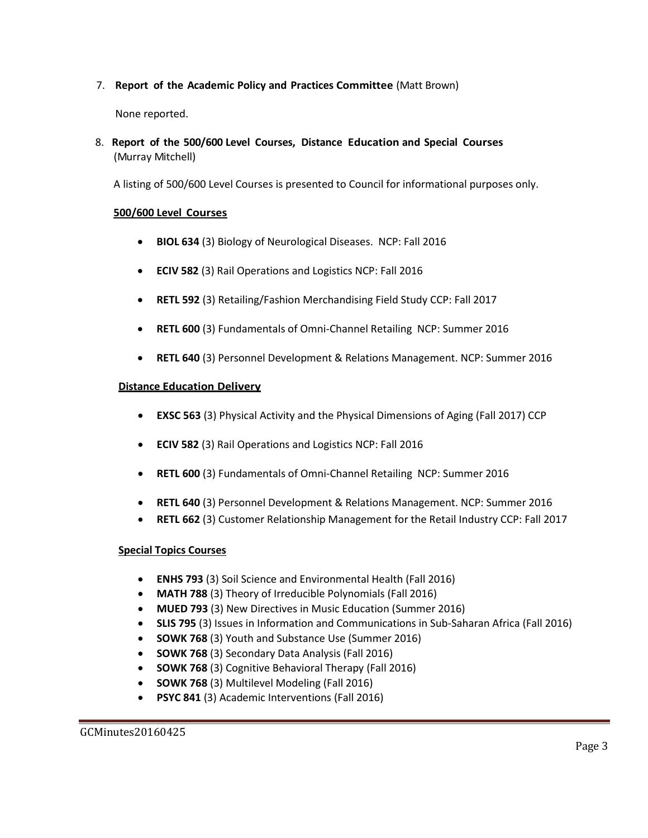7. **Report of the Academic Policy and Practices Committee** (Matt Brown)

None reported.

8. **Report of the 500/600 Level Courses, Distance Education and Special Courses** (Murray Mitchell)

A listing of 500/600 Level Courses is presented to Council for informational purposes only.

## **500/600 Level Courses**

- **BIOL 634** (3) Biology of Neurological Diseases. NCP: Fall 2016
- **ECIV 582** (3) Rail Operations and Logistics NCP: Fall 2016
- **RETL 592** (3) Retailing/Fashion Merchandising Field Study CCP: Fall 2017
- **RETL 600** (3) Fundamentals of Omni-Channel Retailing NCP: Summer 2016
- **RETL 640** (3) Personnel Development & Relations Management. NCP: Summer 2016

#### **Distance Education Delivery**

- **EXSC 563** (3) Physical Activity and the Physical Dimensions of Aging (Fall 2017) CCP
- **ECIV 582** (3) Rail Operations and Logistics NCP: Fall 2016
- **RETL 600** (3) Fundamentals of Omni-Channel Retailing NCP: Summer 2016
- **RETL 640** (3) Personnel Development & Relations Management. NCP: Summer 2016
- **RETL 662** (3) Customer Relationship Management for the Retail Industry CCP: Fall 2017

#### **Special Topics Courses**

- **ENHS 793** (3) Soil Science and Environmental Health (Fall 2016)
- **MATH 788** (3) Theory of Irreducible Polynomials (Fall 2016)
- **MUED 793** (3) New Directives in Music Education (Summer 2016)
- **SLIS 795** (3) Issues in Information and Communications in Sub-Saharan Africa (Fall 2016)
- **SOWK 768** (3) Youth and Substance Use (Summer 2016)
- **SOWK 768** (3) Secondary Data Analysis (Fall 2016)
- **SOWK 768** (3) Cognitive Behavioral Therapy (Fall 2016)
- **SOWK 768** (3) Multilevel Modeling (Fall 2016)
- **PSYC 841** (3) Academic Interventions (Fall 2016)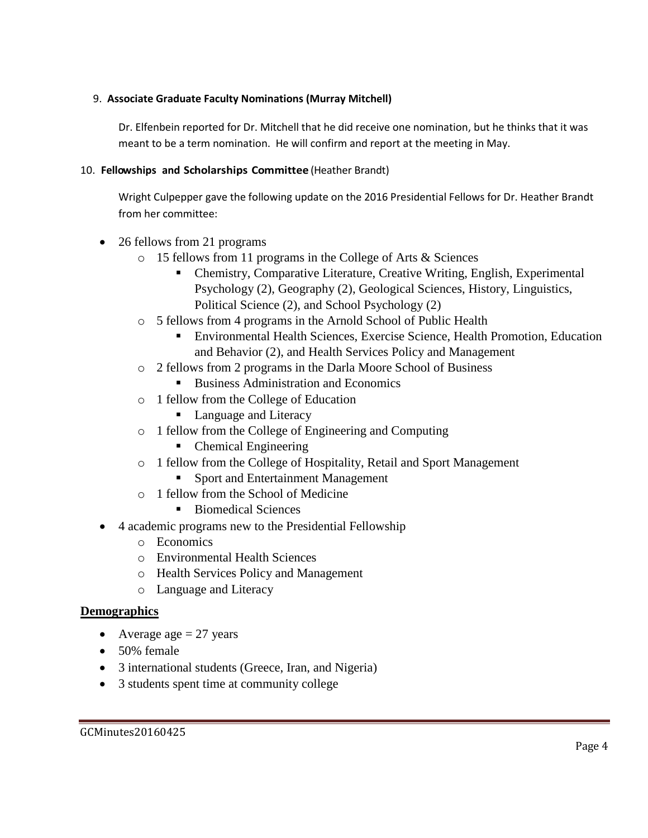# 9. **Associate Graduate Faculty Nominations (Murray Mitchell)**

Dr. Elfenbein reported for Dr. Mitchell that he did receive one nomination, but he thinks that it was meant to be a term nomination. He will confirm and report at the meeting in May.

# 10. **Fellowships and Scholarships Committee** (Heather Brandt)

Wright Culpepper gave the following update on the 2016 Presidential Fellows for Dr. Heather Brandt from her committee:

- 26 fellows from 21 programs
	- o 15 fellows from 11 programs in the College of Arts & Sciences
		- Chemistry, Comparative Literature, Creative Writing, English, Experimental Psychology (2), Geography (2), Geological Sciences, History, Linguistics, Political Science (2), and School Psychology (2)
	- o 5 fellows from 4 programs in the Arnold School of Public Health
		- Environmental Health Sciences, Exercise Science, Health Promotion, Education and Behavior (2), and Health Services Policy and Management
	- o 2 fellows from 2 programs in the Darla Moore School of Business
		- Business Administration and Economics
	- o 1 fellow from the College of Education
		- Language and Literacy
	- o 1 fellow from the College of Engineering and Computing
		- Chemical Engineering
	- o 1 fellow from the College of Hospitality, Retail and Sport Management
		- Sport and Entertainment Management
	- o 1 fellow from the School of Medicine
		- Biomedical Sciences
- 4 academic programs new to the Presidential Fellowship
	- o Economics
	- o Environmental Health Sciences
	- o Health Services Policy and Management
	- o Language and Literacy

# **Demographics**

- Average age  $= 27$  years
- 50% female
- 3 international students (Greece, Iran, and Nigeria)
- 3 students spent time at community college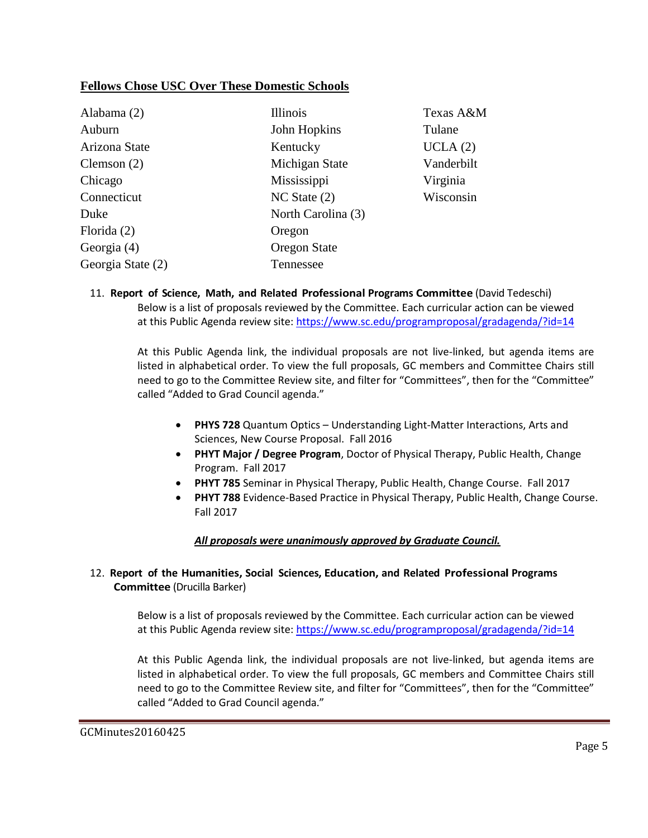## **Fellows Chose USC Over These Domestic Schools**

| Alabama (2)       | <b>Illinois</b>    | Texas A&M  |
|-------------------|--------------------|------------|
| Auburn            | John Hopkins       | Tulane     |
| Arizona State     | Kentucky           | UCLA(2)    |
| Clemson $(2)$     | Michigan State     | Vanderbilt |
| Chicago           | Mississippi        | Virginia   |
| Connecticut       | $NC$ State $(2)$   | Wisconsin  |
| Duke              | North Carolina (3) |            |
| Florida $(2)$     | Oregon             |            |
| Georgia (4)       | Oregon State       |            |
| Georgia State (2) | Tennessee          |            |

11. **Report of Science, Math, and Related Professional Programs Committee** (David Tedeschi) Below is a list of proposals reviewed by the Committee. Each curricular action can be viewed at this Public Agenda review site:<https://www.sc.edu/programproposal/gradagenda/?id=14>

At this Public Agenda link, the individual proposals are not live-linked, but agenda items are listed in alphabetical order. To view the full proposals, GC members and Committee Chairs still need to go to the Committee Review site, and filter for "Committees", then for the "Committee" called "Added to Grad Council agenda."

- **PHYS 728** Quantum Optics Understanding Light-Matter Interactions, Arts and Sciences, New Course Proposal. Fall 2016
- **PHYT Major / Degree Program**, Doctor of Physical Therapy, Public Health, Change Program. Fall 2017
- **PHYT 785** Seminar in Physical Therapy, Public Health, Change Course. Fall 2017
- **PHYT 788** Evidence-Based Practice in Physical Therapy, Public Health, Change Course. Fall 2017

## *All proposals were unanimously approved by Graduate Council.*

## 12. **Report of the Humanities, Social Sciences, Education, and Related Professional Programs Committee** (Drucilla Barker)

Below is a list of proposals reviewed by the Committee. Each curricular action can be viewed at this Public Agenda review site:<https://www.sc.edu/programproposal/gradagenda/?id=14>

At this Public Agenda link, the individual proposals are not live-linked, but agenda items are listed in alphabetical order. To view the full proposals, GC members and Committee Chairs still need to go to the Committee Review site, and filter for "Committees", then for the "Committee" called "Added to Grad Council agenda."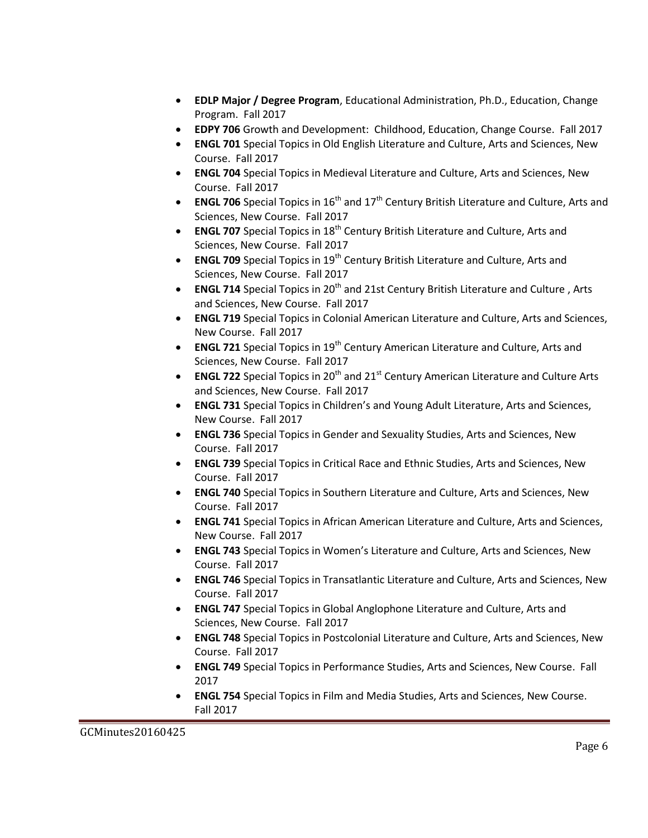- **EDLP Major / Degree Program**, Educational Administration, Ph.D., Education, Change Program. Fall 2017
- **EDPY 706** Growth and Development: Childhood, Education, Change Course. Fall 2017
- **ENGL 701** Special Topics in Old English Literature and Culture, Arts and Sciences, New Course. Fall 2017
- **ENGL 704** Special Topics in Medieval Literature and Culture, Arts and Sciences, New Course. Fall 2017
- **ENGL 706** Special Topics in 16<sup>th</sup> and 17<sup>th</sup> Century British Literature and Culture, Arts and Sciences, New Course. Fall 2017
- **ENGL 707** Special Topics in 18<sup>th</sup> Century British Literature and Culture, Arts and Sciences, New Course. Fall 2017
- **ENGL 709** Special Topics in 19<sup>th</sup> Century British Literature and Culture, Arts and Sciences, New Course. Fall 2017
- **ENGL 714** Special Topics in 20<sup>th</sup> and 21st Century British Literature and Culture, Arts and Sciences, New Course. Fall 2017
- **ENGL 719** Special Topics in Colonial American Literature and Culture, Arts and Sciences, New Course. Fall 2017
- **ENGL 721** Special Topics in 19<sup>th</sup> Century American Literature and Culture, Arts and Sciences, New Course. Fall 2017
- **ENGL 722** Special Topics in 20<sup>th</sup> and 21<sup>st</sup> Century American Literature and Culture Arts and Sciences, New Course. Fall 2017
- **ENGL 731** Special Topics in Children's and Young Adult Literature, Arts and Sciences, New Course. Fall 2017
- **ENGL 736** Special Topics in Gender and Sexuality Studies, Arts and Sciences, New Course. Fall 2017
- **ENGL 739** Special Topics in Critical Race and Ethnic Studies, Arts and Sciences, New Course. Fall 2017
- **ENGL 740** Special Topics in Southern Literature and Culture, Arts and Sciences, New Course. Fall 2017
- **ENGL 741** Special Topics in African American Literature and Culture, Arts and Sciences, New Course. Fall 2017
- **ENGL 743** Special Topics in Women's Literature and Culture, Arts and Sciences, New Course. Fall 2017
- **ENGL 746** Special Topics in Transatlantic Literature and Culture, Arts and Sciences, New Course. Fall 2017
- **ENGL 747** Special Topics in Global Anglophone Literature and Culture, Arts and Sciences, New Course. Fall 2017
- **ENGL 748** Special Topics in Postcolonial Literature and Culture, Arts and Sciences, New Course. Fall 2017
- **ENGL 749** Special Topics in Performance Studies, Arts and Sciences, New Course. Fall 2017
- **ENGL 754** Special Topics in Film and Media Studies, Arts and Sciences, New Course. Fall 2017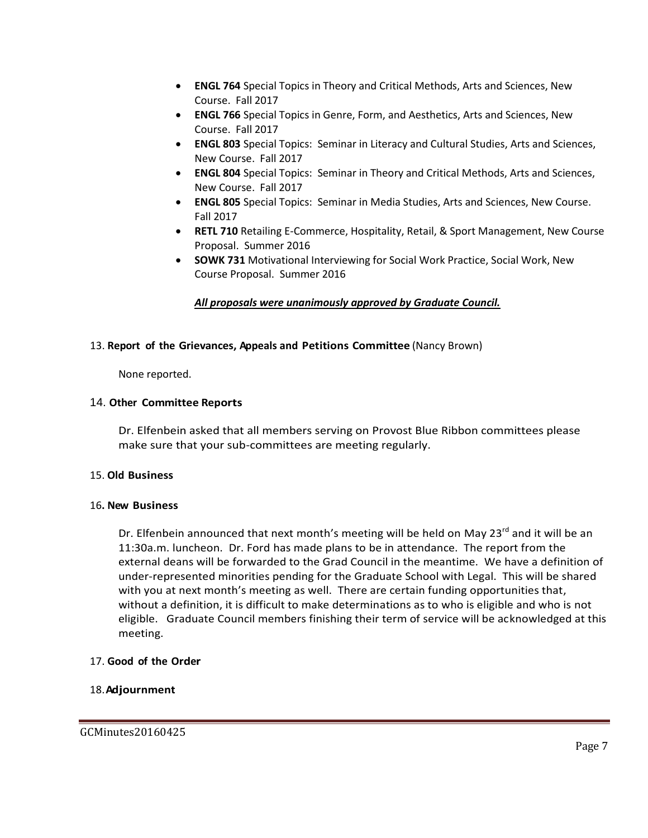- **ENGL 764** Special Topics in Theory and Critical Methods, Arts and Sciences, New Course. Fall 2017
- **ENGL 766** Special Topics in Genre, Form, and Aesthetics, Arts and Sciences, New Course. Fall 2017
- **ENGL 803** Special Topics: Seminar in Literacy and Cultural Studies, Arts and Sciences, New Course. Fall 2017
- **ENGL 804** Special Topics: Seminar in Theory and Critical Methods, Arts and Sciences, New Course. Fall 2017
- **ENGL 805** Special Topics: Seminar in Media Studies, Arts and Sciences, New Course. Fall 2017
- **RETL 710** Retailing E-Commerce, Hospitality, Retail, & Sport Management, New Course Proposal. Summer 2016
- **SOWK 731** Motivational Interviewing for Social Work Practice, Social Work, New Course Proposal. Summer 2016

## *All proposals were unanimously approved by Graduate Council.*

#### 13. **Report of the Grievances, Appeals and Petitions Committee** (Nancy Brown)

None reported.

#### 14. **Other Committee Reports**

Dr. Elfenbein asked that all members serving on Provost Blue Ribbon committees please make sure that your sub-committees are meeting regularly.

#### 15. **Old Business**

#### 16**. New Business**

Dr. Elfenbein announced that next month's meeting will be held on May 23<sup>rd</sup> and it will be an 11:30a.m. luncheon. Dr. Ford has made plans to be in attendance. The report from the external deans will be forwarded to the Grad Council in the meantime. We have a definition of under-represented minorities pending for the Graduate School with Legal. This will be shared with you at next month's meeting as well. There are certain funding opportunities that, without a definition, it is difficult to make determinations as to who is eligible and who is not eligible. Graduate Council members finishing their term of service will be acknowledged at this meeting.

#### 17. **Good of the Order**

#### 18.**Adjournment**